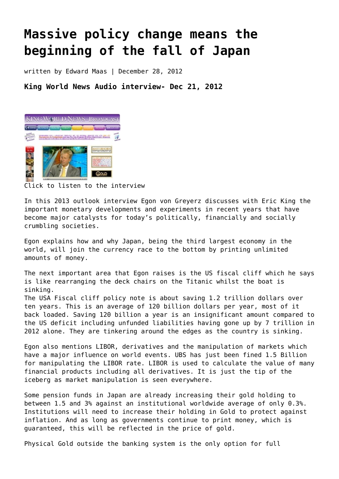## **[Massive policy change means the](https://goldswitzerland.com/massive-policy-change-means-the-beginning-of-the-fall-of-japan/) [beginning of the fall of Japan](https://goldswitzerland.com/massive-policy-change-means-the-beginning-of-the-fall-of-japan/)**

written by Edward Maas | December 28, 2012

**King World News Audio interview- Dec 21, 2012**



[Click to listen to the interview](http://archive.kingworldnews.com/kingworldnews/Broadcast/Entries/2012/12/25_Egon_von_Greyerz_files/Egon%20von%20Greyerz%2012%3A25%3A2012.mp3)

In this 2013 outlook interview Egon von Greyerz discusses with Eric King the important monetary developments and experiments in recent years that have become major catalysts for today's politically, financially and socially crumbling societies.

Egon explains how and why Japan, being the third largest economy in the world, will join the currency race to the bottom by printing unlimited amounts of money.

The next important area that Egon raises is the US fiscal cliff which he says is like rearranging the deck chairs on the Titanic whilst the boat is sinking.

The USA Fiscal cliff policy note is about saving 1.2 trillion dollars over ten years. This is an average of 120 billion dollars per year, most of it back loaded. Saving 120 billion a year is an insignificant amount compared to the US deficit including unfunded liabilities having gone up by 7 trillion in 2012 alone. They are tinkering around the edges as the country is sinking.

Egon also mentions LIBOR, derivatives and the manipulation of markets which have a major influence on world events. UBS has just been fined 1.5 Billion for manipulating the LIBOR rate. LIBOR is used to calculate the value of many financial products including all derivatives. It is just the tip of the iceberg as market manipulation is seen everywhere.

Some pension funds in Japan are already increasing their gold holding to between 1.5 and 3% against an institutional worldwide average of only 0.3%. Institutions will need to increase their holding in Gold to protect against inflation. And as long as governments continue to print money, which is guaranteed, this will be reflected in the price of gold.

Physical Gold outside the banking system is the only option for full